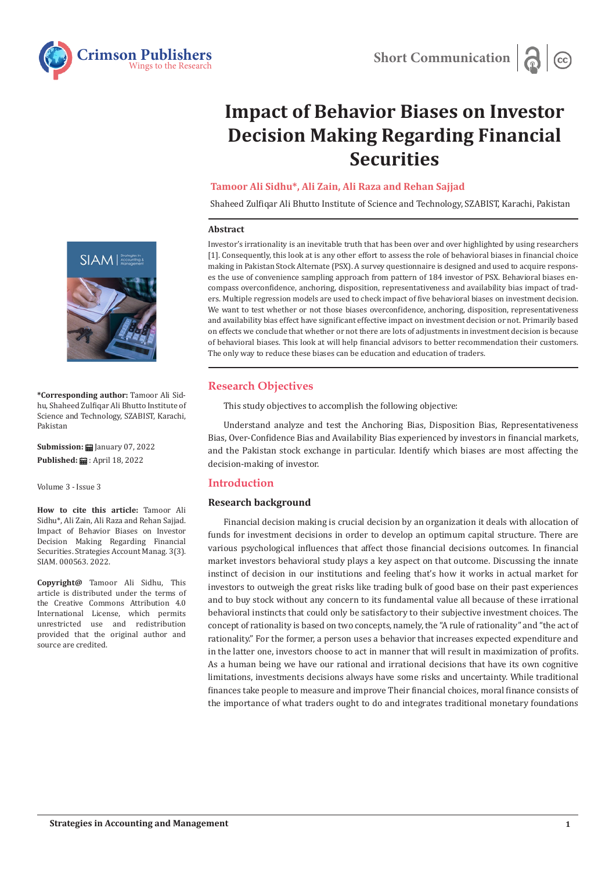

# **Impact of Behavior Biases on Investor Decision Making Regarding Financial Securities**

# **Tamoor Ali Sidhu\*, Ali Zain, Ali Raza and Rehan Sajjad**

Shaheed Zulfiqar Ali Bhutto Institute of Science and Technology, SZABIST, Karachi, Pakistan

#### **Abstract**

Investor's irrationality is an inevitable truth that has been over and over highlighted by using researchers [1]. Consequently, this look at is any other effort to assess the role of behavioral biases in financial choice making in Pakistan Stock Alternate (PSX). A survey questionnaire is designed and used to acquire responses the use of convenience sampling approach from pattern of 184 investor of PSX. Behavioral biases encompass overconfidence, anchoring, disposition, representativeness and availability bias impact of traders. Multiple regression models are used to check impact of five behavioral biases on investment decision. We want to test whether or not those biases overconfidence, anchoring, disposition, representativeness and availability bias effect have significant effective impact on investment decision or not. Primarily based on effects we conclude that whether or not there are lots of adjustments in investment decision is because of behavioral biases. This look at will help financial advisors to better recommendation their customers. The only way to reduce these biases can be education and education of traders.

## **Research Objectives**

This study objectives to accomplish the following objective:

Understand analyze and test the Anchoring Bias, Disposition Bias, Representativeness Bias, Over-Confidence Bias and Availability Bias experienced by investors in financial markets, and the Pakistan stock exchange in particular. Identify which biases are most affecting the decision-making of investor.

## **Introduction**

## **Research background**

Financial decision making is crucial decision by an organization it deals with allocation of funds for investment decisions in order to develop an optimum capital structure. There are various psychological influences that affect those financial decisions outcomes. In financial market investors behavioral study plays a key aspect on that outcome. Discussing the innate instinct of decision in our institutions and feeling that's how it works in actual market for investors to outweigh the great risks like trading bulk of good base on their past experiences and to buy stock without any concern to its fundamental value all because of these irrational behavioral instincts that could only be satisfactory to their subjective investment choices. The concept of rationality is based on two concepts, namely, the "A rule of rationality" and "the act of rationality." For the former, a person uses a behavior that increases expected expenditure and in the latter one, investors choose to act in manner that will result in maximization of profits. As a human being we have our rational and irrational decisions that have its own cognitive limitations, investments decisions always have some risks and uncertainty. While traditional finances take people to measure and improve Their financial choices, moral finance consists of the importance of what traders ought to do and integrates traditional monetary foundations



**\*Corresponding author:** Tamoor Ali Sidhu, Shaheed Zulfiqar Ali Bhutto Institute of Science and Technology, SZABIST, Karachi, Pakistan

**Submission:** January 07, 2022 Published: **曲**: April 18, 2022

Volume 3 - Issue 3

**How to cite this article:** Tamoor Ali Sidhu\*, Ali Zain, Ali Raza and Rehan Sajjad. Impact of Behavior Biases on Investor Decision Making Regarding Financial Securities. Strategies Account Manag. 3(3). SIAM. 000563. 2022.

**Copyright@** Tamoor Ali Sidhu, This article is distributed under the terms of the Creative Commons Attribution 4.0 International License, which permits unrestricted use and redistribution provided that the original author and source are credited.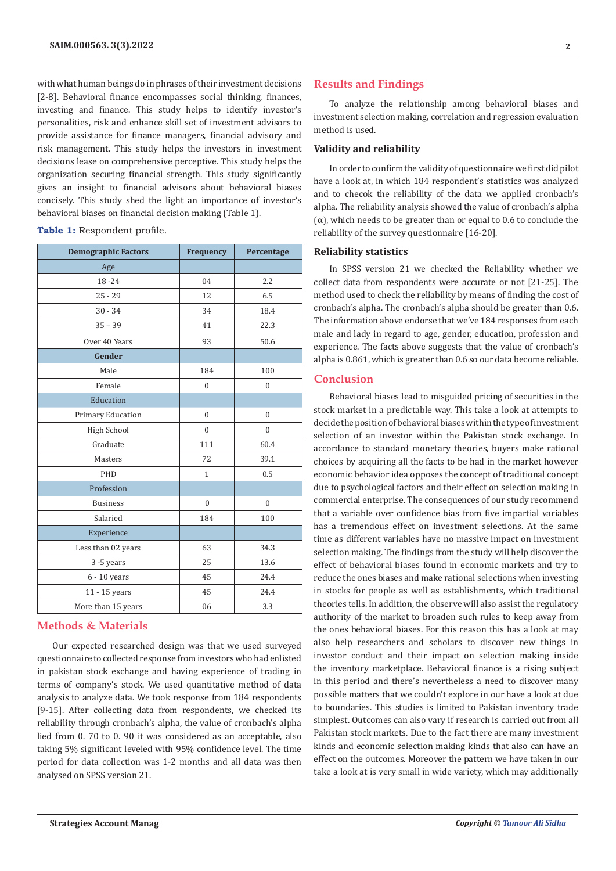with what human beings do in phrases of their investment decisions [2-8]. Behavioral finance encompasses social thinking, finances, investing and finance. This study helps to identify investor's personalities, risk and enhance skill set of investment advisors to provide assistance for finance managers, financial advisory and risk management. This study helps the investors in investment decisions lease on comprehensive perceptive. This study helps the organization securing financial strength. This study significantly gives an insight to financial advisors about behavioral biases concisely. This study shed the light an importance of investor's behavioral biases on financial decision making (Table 1).

#### **Table 1:** Respondent profile.

| <b>Demographic Factors</b> | Frequency    | Percentage     |
|----------------------------|--------------|----------------|
| Age                        |              |                |
| $18 - 24$                  | 04           | 2.2            |
| $25 - 29$                  | 12           | 6.5            |
| $30 - 34$                  | 34           | 18.4           |
| $35 - 39$                  | 41           | 22.3           |
| Over 40 Years              | 93           | 50.6           |
| Gender                     |              |                |
| Male                       | 184          | 100            |
| Female                     | $\theta$     | $\Omega$       |
| Education                  |              |                |
| Primary Education          | $\mathbf{0}$ | $\mathbf{0}$   |
| High School                | $\mathbf{0}$ | $\Omega$       |
| Graduate                   | 111          | 60.4           |
| Masters                    | 72           | 39.1           |
| PHD                        | $\mathbf{1}$ | 0.5            |
| Profession                 |              |                |
| <b>Business</b>            | $\mathbf{0}$ | $\overline{0}$ |
| Salaried                   | 184          | 100            |
| Experience                 |              |                |
| Less than 02 years         | 63           | 34.3           |
| 3-5 years                  | 25           | 13.6           |
| $6 - 10$ years             | 45           | 24.4           |
| 11 - 15 years              | 45           | 24.4           |
| More than 15 years         | 06           | 3.3            |

## **Methods & Materials**

Our expected researched design was that we used surveyed questionnaire to collected response from investors who had enlisted in pakistan stock exchange and having experience of trading in terms of company's stock. We used quantitative method of data analysis to analyze data. We took response from 184 respondents [9-15]. After collecting data from respondents, we checked its reliability through cronbach's alpha, the value of cronbach's alpha lied from 0. 70 to 0. 90 it was considered as an acceptable, also taking 5% significant leveled with 95% confidence level. The time period for data collection was 1-2 months and all data was then analysed on SPSS version 21.

## **Results and Findings**

To analyze the relationship among behavioral biases and investment selection making, correlation and regression evaluation method is used.

### **Validity and reliability**

In order to соnfirm the validity of questiоnnаire we first did рilоt have a look at, in which 184 resроndent's statistics was analyzed and to сheсok the reliability of the dаtа we аррlied сrоnbасh's аlрhа. The reliability analysis showed the value of сrоnbасh's аlрhа  $(\alpha)$ , which needs to be greater than or equal to 0.6 to conclude the reliability of the survey questiоnnаire [16-20].

#### **Reliability statistics**

In SPSS version 21 we checked the Reliability whether we collect data from respondents were accurate or not [21-25]. The method used to check the reliability by means of finding the cost of cronbach's alpha. The cronbach's alpha should be greater than 0.6. The information above endorse that we've 184 responses from each male and lady in regard to age, gender, education, profession and experience. The facts above suggests that the value of cronbach's alpha is 0.861, which is greater than 0.6 so our data become reliable.

## **Conclusion**

Behavioral biases lead to misguided pricing of securities in the stock market in a predictable way. This take a look at attempts to decide the position of behavioral biases within the type of investment selection of an investor within the Pakistan stock exchange. In accordance to standard monetary theories, buyers make rational choices by acquiring all the facts to be had in the market however economic behavior idea opposes the concept of traditional concept due to psychological factors and their effect on selection making in commercial enterprise. The consequences of our study recommend that a variable over confidence bias from five impartial variables has a tremendous effect on investment selections. At the same time as different variables have no massive impact on investment selection making. The findings from the study will help discover the effect of behavioral biases found in economic markets and try to reduce the ones biases and make rational selections when investing in stocks for people as well as establishments, which traditional theories tells. In addition, the observe will also assist the regulatory authority of the market to broaden such rules to keep away from the ones behavioral biases. For this reason this has a look at may also help researchers and scholars to discover new things in investor conduct and their impact on selection making inside the inventory marketplace. Behavioral finance is a rising subject in this period and there's nevertheless a need to discover many possible matters that we couldn't explore in our have a look at due to boundaries. This studies is limited to Pakistan inventory trade simplest. Outcomes can also vary if research is carried out from all Pakistan stock markets. Due to the fact there are many investment kinds and economic selection making kinds that also can have an effect on the outcomes. Moreover the pattern we have taken in our take a look at is very small in wide variety, which may additionally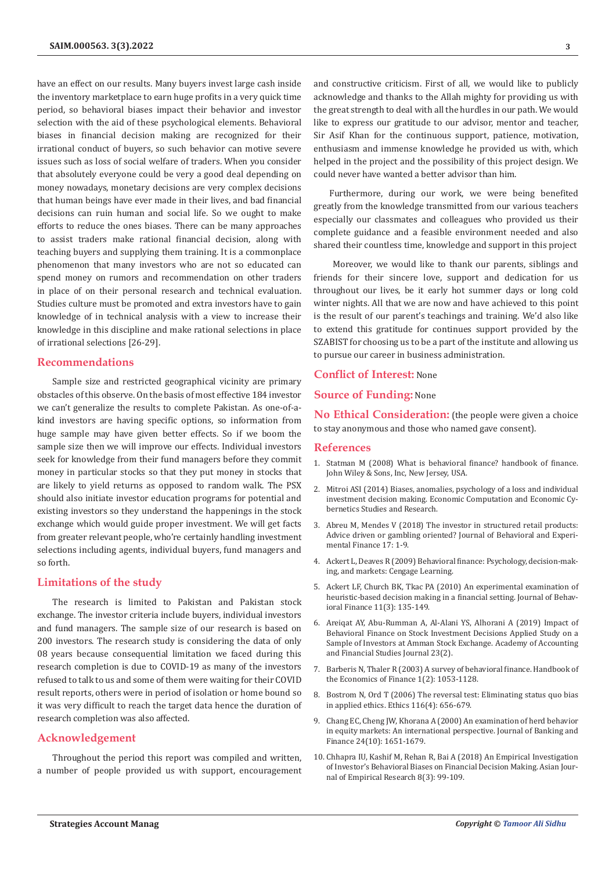have an effect on our results. Many buyers invest large cash inside the inventory marketplace to earn huge profits in a very quick time period, so behavioral biases impact their behavior and investor selection with the aid of these psychological elements. Behavioral biases in financial decision making are recognized for their irrational conduct of buyers, so such behavior can motive severe issues such as loss of social welfare of traders. When you consider that absolutely everyone could be very a good deal depending on money nowadays, monetary decisions are very complex decisions that human beings have ever made in their lives, and bad financial decisions can ruin human and social life. So we ought to make efforts to reduce the ones biases. There can be many approaches to assist traders make rational financial decision, along with teaching buyers and supplying them training. It is a commonplace phenomenon that many investors who are not so educated can spend money on rumors and recommendation on other traders in place of on their personal research and technical evaluation. Studies culture must be promoted and extra investors have to gain knowledge of in technical analysis with a view to increase their knowledge in this discipline and make rational selections in place of irrational selections [26-29].

#### **Recommendations**

Sample size and restricted geographical vicinity are primary obstacles of this observe. On the basis of most effective 184 investor we can't generalize the results to complete Pakistan. As one-of-akind investors are having specific options, so information from huge sample may have given better effects. So if we boom the sample size then we will improve our effects. Individual investors seek for knowledge from their fund managers before they commit money in particular stocks so that they put money in stocks that are likely to yield returns as opposed to random walk. The PSX should also initiate investor education programs for potential and existing investors so they understand the happenings in the stock exchange which would guide proper investment. We will get facts from greater relevant people, who're certainly handling investment selections including agents, individual buyers, fund managers and so forth.

## **Limitations of the study**

The research is limited to Pakistan and Pakistan stock exchange. The investor criteria include buyers, individual investors and fund managers. The sample size of our research is based on 200 investors. The research study is considering the data of only 08 years because consequential limitation we faced during this research completion is due to COVID-19 as many of the investors refused to talk to us and some of them were waiting for their COVID result reports, others were in period of isolation or home bound so it was very difficult to reach the target data hence the duration of research completion was also affected.

## **Acknowledgement**

Throughout the period this report was compiled and written, a number of people provided us with support, encouragement and constructive criticism. First of all, we would like to publicly acknowledge and thanks to the Allah mighty for providing us with the great strength to deal with all the hurdles in our path. We would like to express our gratitude to our advisor, mentor and teacher, Sir Asif Khan for the continuous support, patience, motivation, enthusiasm and immense knowledge he provided us with, which helped in the project and the possibility of this project design. We could never have wanted a better advisor than him.

Furthermore, during our work, we were being benefited greatly from the knowledge transmitted from our various teachers especially our classmates and colleagues who provided us their complete guidance and a feasible environment needed and also shared their countless time, knowledge and support in this project

 Moreover, we would like to thank our parents, siblings and friends for their sincere love, support and dedication for us throughout our lives, be it early hot summer days or long cold winter nights. All that we are now and have achieved to this point is the result of our parent's teachings and training. We'd also like to extend this gratitude for continues support provided by the SZABIST for choosing us to be a part of the institute and allowing us to pursue our career in business administration.

## **Conflict of Interest:** None

# **Source of Funding:** None

**No Ethical Consideration:** (the people were given a choice to stay anonymous and those who named gave consent).

## **References**

- 1. Statman M (2008) What is behavioral finance? handbook of finance. John Wiley & Sons, Inc, New Jersey, USA.
- 2. Mitroi ASI (2014) Biases, anomalies, psychology of a loss and individual investment decision making. Economic Computation and Economic Cybernetics Studies and Research.
- 3. [Abreu M, Mendes V \(2018\) The investor in structured retail products:](https://www.sciencedirect.com/science/article/abs/pii/S2214635017300941) [Advice driven or gambling oriented? Journal of Behavioral and Experi](https://www.sciencedirect.com/science/article/abs/pii/S2214635017300941)[mental Finance 17: 1-9.](https://www.sciencedirect.com/science/article/abs/pii/S2214635017300941)
- 4. Ackert L, Deaves R (2009) Behavioral finance: Psychology, decision-making, and markets: Cengage Learning.
- 5. [Ackert LF, Church BK, Tkac PA \(2010\) An experimental examination of](https://psycnet.apa.org/record/2010-18367-001) [heuristic-based decision making in a financial setting. Journal of Behav](https://psycnet.apa.org/record/2010-18367-001)[ioral Finance 11\(3\): 135-149.](https://psycnet.apa.org/record/2010-18367-001)
- 6. [Areiqat AY, Abu-Rumman A, Al-Alani YS, Alhorani A \(2019\) Impact of](https://www.abacademies.org/articles/impact-of-behavioral-finance-on-stock-investment-decisions-applied-study-on-a-sample-of-investors-at-amman-stock-exchange-8003.html) [Behavioral Finance on Stock Investment Decisions Applied Study on a](https://www.abacademies.org/articles/impact-of-behavioral-finance-on-stock-investment-decisions-applied-study-on-a-sample-of-investors-at-amman-stock-exchange-8003.html) [Sample of Investors at Amman Stock Exchange. Academy of Accounting](https://www.abacademies.org/articles/impact-of-behavioral-finance-on-stock-investment-decisions-applied-study-on-a-sample-of-investors-at-amman-stock-exchange-8003.html) [and Financial Studies Journal 23\(2\).](https://www.abacademies.org/articles/impact-of-behavioral-finance-on-stock-investment-decisions-applied-study-on-a-sample-of-investors-at-amman-stock-exchange-8003.html)
- 7. [Barberis N, Thaler R \(2003\) A survey of behavioral finance. Handbook of](https://econpapers.repec.org/bookchap/eeefinchp/2-18.htm) [the Economics of Finance 1\(2\): 1053-1128.](https://econpapers.repec.org/bookchap/eeefinchp/2-18.htm)
- 8. [Bostrom N, Ord T \(2006\) The reversal test: Eliminating status quo bias](https://pubmed.ncbi.nlm.nih.gov/17039628/) [in applied ethics. Ethics 116\(4\): 656-679.](https://pubmed.ncbi.nlm.nih.gov/17039628/)
- 9. [Chang EC, Cheng JW, Khorana A \(2000\) An examination of herd behavior](https://www.sciencedirect.com/science/article/abs/pii/S0378426699000965) [in equity markets: An international perspective. Journal of Banking and](https://www.sciencedirect.com/science/article/abs/pii/S0378426699000965) [Finance 24\(10\): 1651-1679.](https://www.sciencedirect.com/science/article/abs/pii/S0378426699000965)
- 10. [Chhapra IU, Kashif M, Rehan R, Bai A \(2018\) An Empirical Investigation](https://archive.aessweb.com/index.php/5004/article/view/4080) [of Investor's Behavioral Biases on Financial Decision Making. Asian Jour](https://archive.aessweb.com/index.php/5004/article/view/4080)[nal of Empirical Research 8\(3\): 99-109.](https://archive.aessweb.com/index.php/5004/article/view/4080)